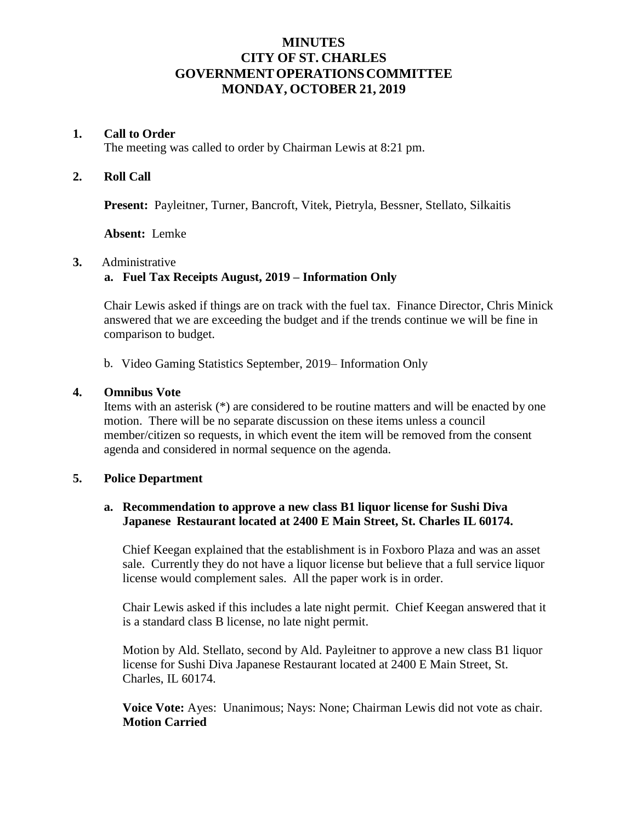# **MINUTES CITY OF ST. CHARLES GOVERNMENTOPERATIONSCOMMITTEE MONDAY, OCTOBER 21, 2019**

#### **1. Call to Order**

The meeting was called to order by Chairman Lewis at 8:21 pm.

## **2. Roll Call**

**Present:** Payleitner, Turner, Bancroft, Vitek, Pietryla, Bessner, Stellato, Silkaitis

**Absent:** Lemke

### **3.** Administrative

# **a. Fuel Tax Receipts August, 2019 – Information Only**

Chair Lewis asked if things are on track with the fuel tax. Finance Director, Chris Minick answered that we are exceeding the budget and if the trends continue we will be fine in comparison to budget.

b. Video Gaming Statistics September, 2019– Information Only

### **4. Omnibus Vote**

Items with an asterisk (\*) are considered to be routine matters and will be enacted by one motion. There will be no separate discussion on these items unless a council member/citizen so requests, in which event the item will be removed from the consent agenda and considered in normal sequence on the agenda.

# **5. Police Department**

### **a. Recommendation to approve a new class B1 liquor license for Sushi Diva Japanese Restaurant located at 2400 E Main Street, St. Charles IL 60174.**

Chief Keegan explained that the establishment is in Foxboro Plaza and was an asset sale. Currently they do not have a liquor license but believe that a full service liquor license would complement sales. All the paper work is in order.

Chair Lewis asked if this includes a late night permit. Chief Keegan answered that it is a standard class B license, no late night permit.

Motion by Ald. Stellato, second by Ald. Payleitner to approve a new class B1 liquor license for Sushi Diva Japanese Restaurant located at 2400 E Main Street, St. Charles, IL 60174.

**Voice Vote:** Ayes: Unanimous; Nays: None; Chairman Lewis did not vote as chair. **Motion Carried**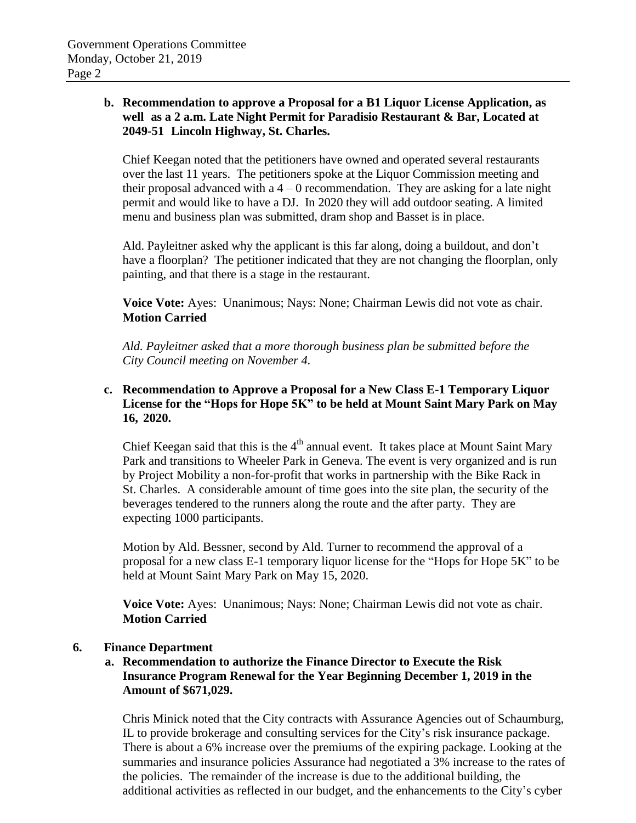## **b. Recommendation to approve a Proposal for a B1 Liquor License Application, as well as a 2 a.m. Late Night Permit for Paradisio Restaurant & Bar, Located at 2049-51 Lincoln Highway, St. Charles.**

Chief Keegan noted that the petitioners have owned and operated several restaurants over the last 11 years. The petitioners spoke at the Liquor Commission meeting and their proposal advanced with a  $4 - 0$  recommendation. They are asking for a late night permit and would like to have a DJ. In 2020 they will add outdoor seating. A limited menu and business plan was submitted, dram shop and Basset is in place.

Ald. Payleitner asked why the applicant is this far along, doing a buildout, and don't have a floorplan? The petitioner indicated that they are not changing the floorplan, only painting, and that there is a stage in the restaurant.

**Voice Vote:** Ayes: Unanimous; Nays: None; Chairman Lewis did not vote as chair. **Motion Carried**

*Ald. Payleitner asked that a more thorough business plan be submitted before the City Council meeting on November 4.*

# **c. Recommendation to Approve a Proposal for a New Class E-1 Temporary Liquor License for the "Hops for Hope 5K" to be held at Mount Saint Mary Park on May 16, 2020.**

Chief Keegan said that this is the  $4<sup>th</sup>$  annual event. It takes place at Mount Saint Mary Park and transitions to Wheeler Park in Geneva. The event is very organized and is run by Project Mobility a non-for-profit that works in partnership with the Bike Rack in St. Charles. A considerable amount of time goes into the site plan, the security of the beverages tendered to the runners along the route and the after party. They are expecting 1000 participants.

Motion by Ald. Bessner, second by Ald. Turner to recommend the approval of a proposal for a new class E-1 temporary liquor license for the "Hops for Hope 5K" to be held at Mount Saint Mary Park on May 15, 2020.

**Voice Vote:** Ayes: Unanimous; Nays: None; Chairman Lewis did not vote as chair. **Motion Carried**

# **6. Finance Department**

# **a. Recommendation to authorize the Finance Director to Execute the Risk Insurance Program Renewal for the Year Beginning December 1, 2019 in the Amount of \$671,029.**

Chris Minick noted that the City contracts with Assurance Agencies out of Schaumburg, IL to provide brokerage and consulting services for the City's risk insurance package. There is about a 6% increase over the premiums of the expiring package. Looking at the summaries and insurance policies Assurance had negotiated a 3% increase to the rates of the policies. The remainder of the increase is due to the additional building, the additional activities as reflected in our budget, and the enhancements to the City's cyber